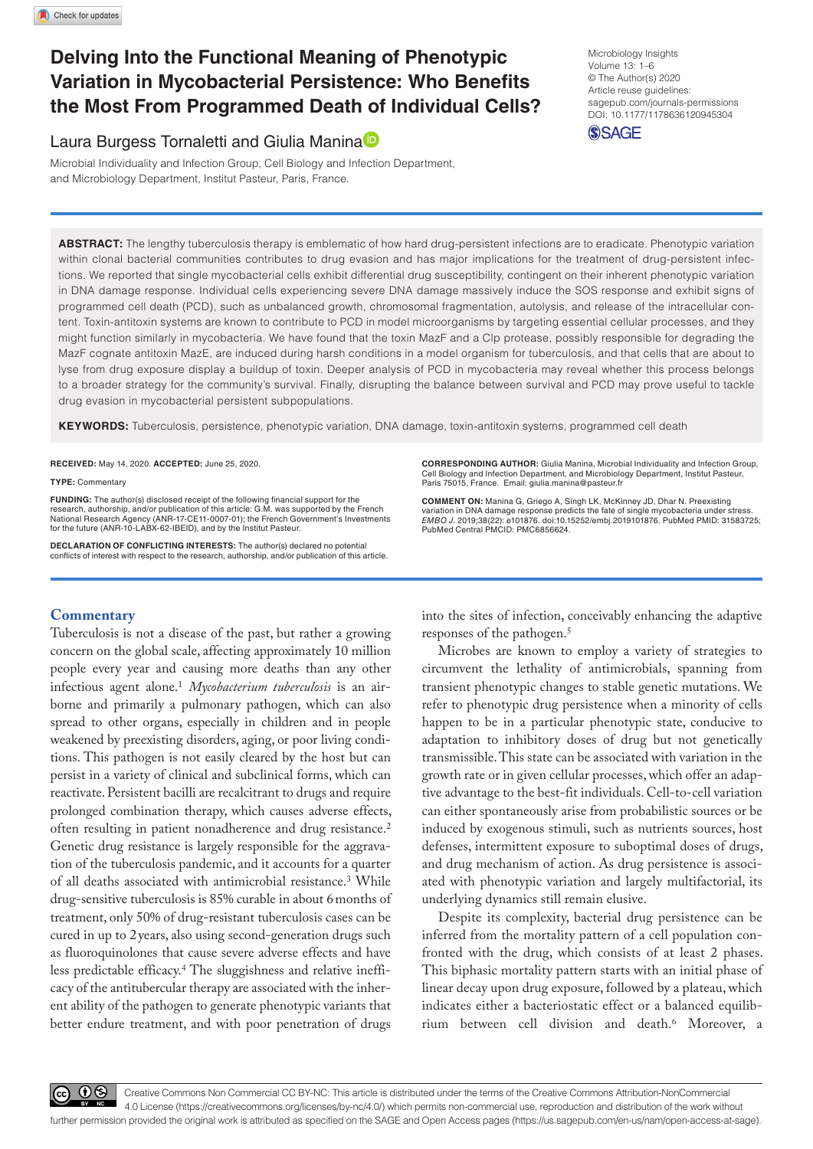# **Delving Into the Functional Meaning of Phenotypic Variation in Mycobacterial Persistence: Who Benefits the Most From Programmed Death of Individual Cells?**

## Laura Burgess Tornaletti and Giulia Manina<sup>D</sup>

Microbial Individuality and Infection Group, Cell Biology and Infection Department, and Microbiology Department, Institut Pasteur, Paris, France.

DOI: 10.1177/1178636120945304 Microbiology Insights Volume 13: 1–6 © The Author(s) 2020 Article reuse guidelines: [sagepub.com/journals-permissions](https://uk.sagepub.com/en-gb/journals-permissions)

**SSAGE** 

**ABSTRACT:** The lengthy tuberculosis therapy is emblematic of how hard drug-persistent infections are to eradicate. Phenotypic variation within clonal bacterial communities contributes to drug evasion and has major implications for the treatment of drug-persistent infections. We reported that single mycobacterial cells exhibit differential drug susceptibility, contingent on their inherent phenotypic variation in DNA damage response. Individual cells experiencing severe DNA damage massively induce the SOS response and exhibit signs of programmed cell death (PCD), such as unbalanced growth, chromosomal fragmentation, autolysis, and release of the intracellular content. Toxin-antitoxin systems are known to contribute to PCD in model microorganisms by targeting essential cellular processes, and they might function similarly in mycobacteria. We have found that the toxin MazF and a Clp protease, possibly responsible for degrading the MazF cognate antitoxin MazE, are induced during harsh conditions in a model organism for tuberculosis, and that cells that are about to lyse from drug exposure display a buildup of toxin. Deeper analysis of PCD in mycobacteria may reveal whether this process belongs to a broader strategy for the community's survival. Finally, disrupting the balance between survival and PCD may prove useful to tackle drug evasion in mycobacterial persistent subpopulations.

**Keywords:** Tuberculosis, persistence, phenotypic variation, DNA damage, toxin-antitoxin systems, programmed cell death

**RECEIVED:** May 14, 2020. **ACCEPTED:** June 25, 2020.

**TYPE:** Commentary

**Funding:** The author(s) disclosed receipt of the following financial support for the research, authorship, and/or publication of this article: G.M. was supported by the French National Research Agency (ANR-17-CE11-0007-01); the French Government's Investments for the future (ANR-10-LABX-62-IBEID), and by the Institut Pasteur.

**Declaration of Conflicting Interests:** The author(s) declared no potential conflicts of interest with respect to the research, authorship, and/or publication of this article.

### **Commentary**

Tuberculosis is not a disease of the past, but rather a growing concern on the global scale, affecting approximately 10 million people every year and causing more deaths than any other infectious agent alone.1 *Mycobacterium tuberculosis* is an airborne and primarily a pulmonary pathogen, which can also spread to other organs, especially in children and in people weakened by preexisting disorders, aging, or poor living conditions. This pathogen is not easily cleared by the host but can persist in a variety of clinical and subclinical forms, which can reactivate. Persistent bacilli are recalcitrant to drugs and require prolonged combination therapy, which causes adverse effects, often resulting in patient nonadherence and drug resistance.2 Genetic drug resistance is largely responsible for the aggravation of the tuberculosis pandemic, and it accounts for a quarter of all deaths associated with antimicrobial resistance.3 While drug-sensitive tuberculosis is 85% curable in about 6months of treatment, only 50% of drug-resistant tuberculosis cases can be cured in up to 2 years, also using second-generation drugs such as fluoroquinolones that cause severe adverse effects and have less predictable efficacy.4 The sluggishness and relative inefficacy of the antitubercular therapy are associated with the inherent ability of the pathogen to generate phenotypic variants that better endure treatment, and with poor penetration of drugs

**CORRESPONDING AUTHOR:** Giulia Manina, Microbial Individuality and Infection Group, Cell Biology and Infection Department, and Microbiology Department, Institut Pasteur, Paris 75015, France. Email: [giulia.manina@pasteur.fr](mailto:giulia.manina@pasteur.fr)

**Comment on:** Manina G, Griego A, Singh LK, McKinney JD, Dhar N. Preexisting variation in DNA damage response predicts the fate of single mycobacteria under stress. *EMBO J*. 2019;38(22): e101876. doi:10.15252/embj.2019101876. PubMed PMID: 31583725; PubMed Central PMCID: PMC6856624.

into the sites of infection, conceivably enhancing the adaptive responses of the pathogen.5

Microbes are known to employ a variety of strategies to circumvent the lethality of antimicrobials, spanning from transient phenotypic changes to stable genetic mutations. We refer to phenotypic drug persistence when a minority of cells happen to be in a particular phenotypic state, conducive to adaptation to inhibitory doses of drug but not genetically transmissible. This state can be associated with variation in the growth rate or in given cellular processes, which offer an adaptive advantage to the best-fit individuals. Cell-to-cell variation can either spontaneously arise from probabilistic sources or be induced by exogenous stimuli, such as nutrients sources, host defenses, intermittent exposure to suboptimal doses of drugs, and drug mechanism of action. As drug persistence is associated with phenotypic variation and largely multifactorial, its underlying dynamics still remain elusive.

Despite its complexity, bacterial drug persistence can be inferred from the mortality pattern of a cell population confronted with the drug, which consists of at least 2 phases. This biphasic mortality pattern starts with an initial phase of linear decay upon drug exposure, followed by a plateau, which indicates either a bacteriostatic effect or a balanced equilibrium between cell division and death.6 Moreover, a

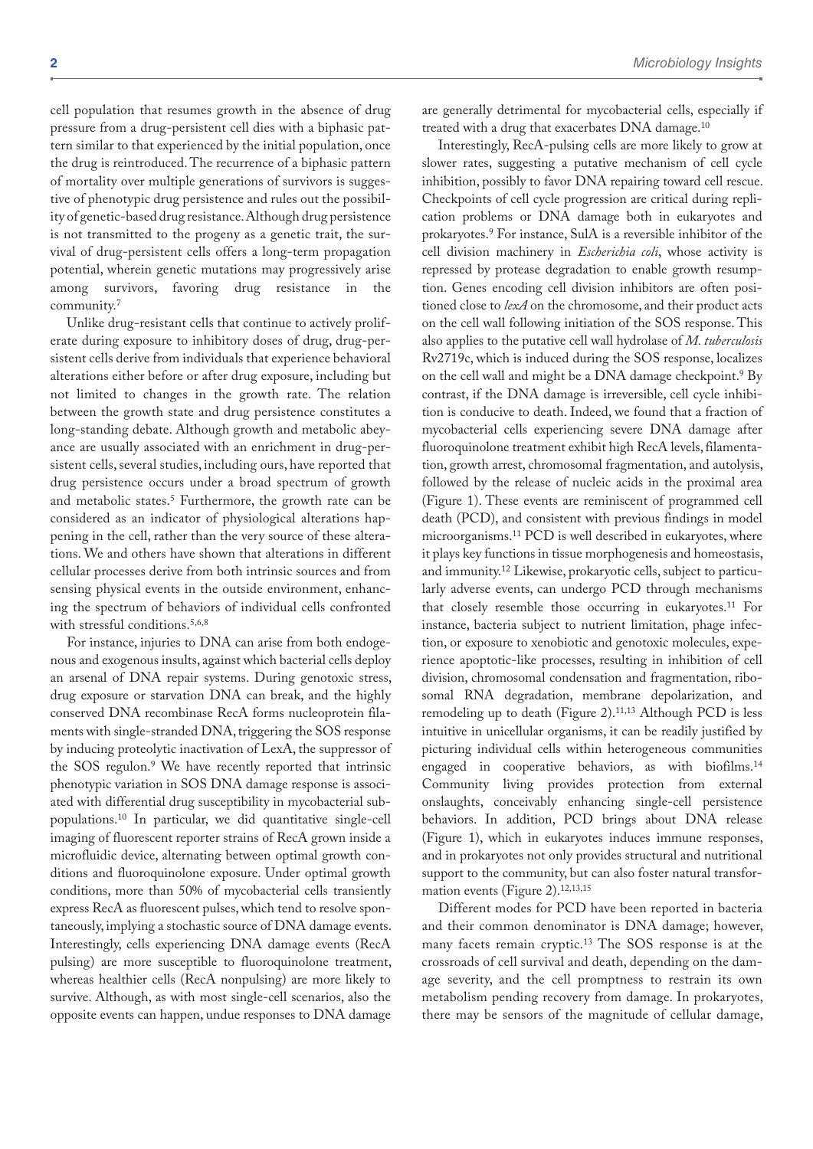cell population that resumes growth in the absence of drug pressure from a drug-persistent cell dies with a biphasic pattern similar to that experienced by the initial population, once the drug is reintroduced. The recurrence of a biphasic pattern of mortality over multiple generations of survivors is suggestive of phenotypic drug persistence and rules out the possibility of genetic-based drug resistance. Although drug persistence is not transmitted to the progeny as a genetic trait, the survival of drug-persistent cells offers a long-term propagation potential, wherein genetic mutations may progressively arise among survivors, favoring drug resistance in the community.7

Unlike drug-resistant cells that continue to actively proliferate during exposure to inhibitory doses of drug, drug-persistent cells derive from individuals that experience behavioral alterations either before or after drug exposure, including but not limited to changes in the growth rate. The relation between the growth state and drug persistence constitutes a long-standing debate. Although growth and metabolic abeyance are usually associated with an enrichment in drug-persistent cells, several studies, including ours, have reported that drug persistence occurs under a broad spectrum of growth and metabolic states.<sup>5</sup> Furthermore, the growth rate can be considered as an indicator of physiological alterations happening in the cell, rather than the very source of these alterations. We and others have shown that alterations in different cellular processes derive from both intrinsic sources and from sensing physical events in the outside environment, enhancing the spectrum of behaviors of individual cells confronted with stressful conditions.<sup>5,6,8</sup>

For instance, injuries to DNA can arise from both endogenous and exogenous insults, against which bacterial cells deploy an arsenal of DNA repair systems. During genotoxic stress, drug exposure or starvation DNA can break, and the highly conserved DNA recombinase RecA forms nucleoprotein filaments with single-stranded DNA, triggering the SOS response by inducing proteolytic inactivation of LexA, the suppressor of the SOS regulon.9 We have recently reported that intrinsic phenotypic variation in SOS DNA damage response is associated with differential drug susceptibility in mycobacterial subpopulations.10 In particular, we did quantitative single-cell imaging of fluorescent reporter strains of RecA grown inside a microfluidic device, alternating between optimal growth conditions and fluoroquinolone exposure. Under optimal growth conditions, more than 50% of mycobacterial cells transiently express RecA as fluorescent pulses, which tend to resolve spontaneously, implying a stochastic source of DNA damage events. Interestingly, cells experiencing DNA damage events (RecA pulsing) are more susceptible to fluoroquinolone treatment, whereas healthier cells (RecA nonpulsing) are more likely to survive. Although, as with most single-cell scenarios, also the opposite events can happen, undue responses to DNA damage

are generally detrimental for mycobacterial cells, especially if treated with a drug that exacerbates DNA damage.10

Interestingly, RecA-pulsing cells are more likely to grow at slower rates, suggesting a putative mechanism of cell cycle inhibition, possibly to favor DNA repairing toward cell rescue. Checkpoints of cell cycle progression are critical during replication problems or DNA damage both in eukaryotes and prokaryotes.9 For instance, SulA is a reversible inhibitor of the cell division machinery in *Escherichia coli*, whose activity is repressed by protease degradation to enable growth resumption. Genes encoding cell division inhibitors are often positioned close to *lexA* on the chromosome, and their product acts on the cell wall following initiation of the SOS response. This also applies to the putative cell wall hydrolase of *M. tuberculosis* Rv2719c, which is induced during the SOS response, localizes on the cell wall and might be a DNA damage checkpoint.9 By contrast, if the DNA damage is irreversible, cell cycle inhibition is conducive to death. Indeed, we found that a fraction of mycobacterial cells experiencing severe DNA damage after fluoroquinolone treatment exhibit high RecA levels, filamentation, growth arrest, chromosomal fragmentation, and autolysis, followed by the release of nucleic acids in the proximal area (Figure 1). These events are reminiscent of programmed cell death (PCD), and consistent with previous findings in model microorganisms.11 PCD is well described in eukaryotes, where it plays key functions in tissue morphogenesis and homeostasis, and immunity.12 Likewise, prokaryotic cells, subject to particularly adverse events, can undergo PCD through mechanisms that closely resemble those occurring in eukaryotes.11 For instance, bacteria subject to nutrient limitation, phage infection, or exposure to xenobiotic and genotoxic molecules, experience apoptotic-like processes, resulting in inhibition of cell division, chromosomal condensation and fragmentation, ribosomal RNA degradation, membrane depolarization, and remodeling up to death (Figure 2).11,13 Although PCD is less intuitive in unicellular organisms, it can be readily justified by picturing individual cells within heterogeneous communities engaged in cooperative behaviors, as with biofilms.14 Community living provides protection from external onslaughts, conceivably enhancing single-cell persistence behaviors. In addition, PCD brings about DNA release (Figure 1), which in eukaryotes induces immune responses, and in prokaryotes not only provides structural and nutritional support to the community, but can also foster natural transformation events (Figure 2).12,13,15

Different modes for PCD have been reported in bacteria and their common denominator is DNA damage; however, many facets remain cryptic.13 The SOS response is at the crossroads of cell survival and death, depending on the damage severity, and the cell promptness to restrain its own metabolism pending recovery from damage. In prokaryotes, there may be sensors of the magnitude of cellular damage,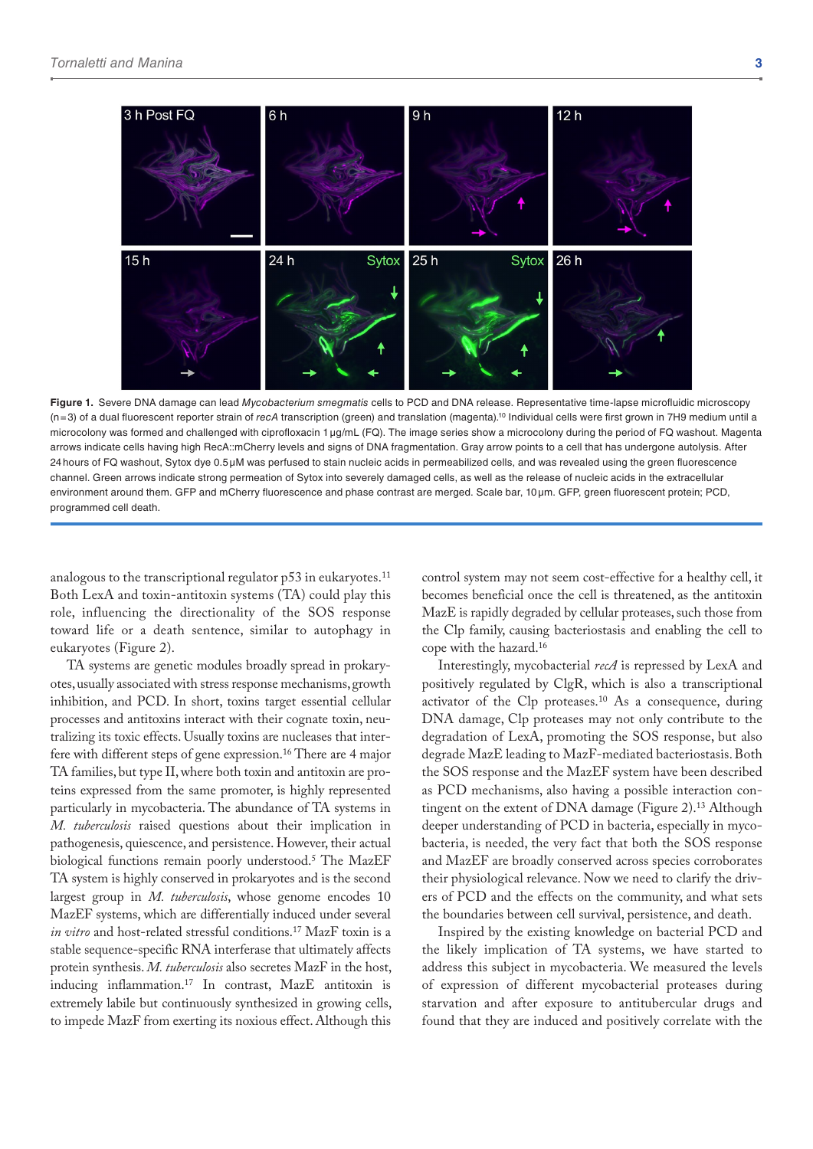

**Figure 1.** Severe DNA damage can lead *Mycobacterium smegmatis* cells to PCD and DNA release. Representative time-lapse microfluidic microscopy (n=3) of a dual fluorescent reporter strain of *recA* transcription (green) and translation (magenta).10 Individual cells were first grown in 7H9 medium until a microcolony was formed and challenged with ciprofloxacin 1µg/mL (FQ). The image series show a microcolony during the period of FQ washout. Magenta arrows indicate cells having high RecA::mCherry levels and signs of DNA fragmentation. Gray arrow points to a cell that has undergone autolysis. After 24hours of FQ washout, Sytox dye 0.5µM was perfused to stain nucleic acids in permeabilized cells, and was revealed using the green fluorescence channel. Green arrows indicate strong permeation of Sytox into severely damaged cells, as well as the release of nucleic acids in the extracellular environment around them. GFP and mCherry fluorescence and phase contrast are merged. Scale bar, 10µm. GFP, green fluorescent protein; PCD, programmed cell death.

analogous to the transcriptional regulator  $p53$  in eukaryotes.<sup>11</sup> Both LexA and toxin-antitoxin systems (TA) could play this role, influencing the directionality of the SOS response toward life or a death sentence, similar to autophagy in eukaryotes (Figure 2).

TA systems are genetic modules broadly spread in prokaryotes, usually associated with stress response mechanisms, growth inhibition, and PCD. In short, toxins target essential cellular processes and antitoxins interact with their cognate toxin, neutralizing its toxic effects. Usually toxins are nucleases that interfere with different steps of gene expression.16 There are 4 major TA families, but type II, where both toxin and antitoxin are proteins expressed from the same promoter, is highly represented particularly in mycobacteria. The abundance of TA systems in *M. tuberculosis* raised questions about their implication in pathogenesis, quiescence, and persistence. However, their actual biological functions remain poorly understood.5 The MazEF TA system is highly conserved in prokaryotes and is the second largest group in *M. tuberculosis*, whose genome encodes 10 MazEF systems, which are differentially induced under several *in vitro* and host-related stressful conditions.17 MazF toxin is a stable sequence-specific RNA interferase that ultimately affects protein synthesis. *M. tuberculosis* also secretes MazF in the host, inducing inflammation.17 In contrast, MazE antitoxin is extremely labile but continuously synthesized in growing cells, to impede MazF from exerting its noxious effect. Although this

control system may not seem cost-effective for a healthy cell, it becomes beneficial once the cell is threatened, as the antitoxin MazE is rapidly degraded by cellular proteases, such those from the Clp family, causing bacteriostasis and enabling the cell to cope with the hazard.16

Interestingly, mycobacterial *recA* is repressed by LexA and positively regulated by ClgR, which is also a transcriptional activator of the Clp proteases.10 As a consequence, during DNA damage, Clp proteases may not only contribute to the degradation of LexA, promoting the SOS response, but also degrade MazE leading to MazF-mediated bacteriostasis. Both the SOS response and the MazEF system have been described as PCD mechanisms, also having a possible interaction contingent on the extent of DNA damage (Figure 2).<sup>13</sup> Although deeper understanding of PCD in bacteria, especially in mycobacteria, is needed, the very fact that both the SOS response and MazEF are broadly conserved across species corroborates their physiological relevance. Now we need to clarify the drivers of PCD and the effects on the community, and what sets the boundaries between cell survival, persistence, and death.

Inspired by the existing knowledge on bacterial PCD and the likely implication of TA systems, we have started to address this subject in mycobacteria. We measured the levels of expression of different mycobacterial proteases during starvation and after exposure to antitubercular drugs and found that they are induced and positively correlate with the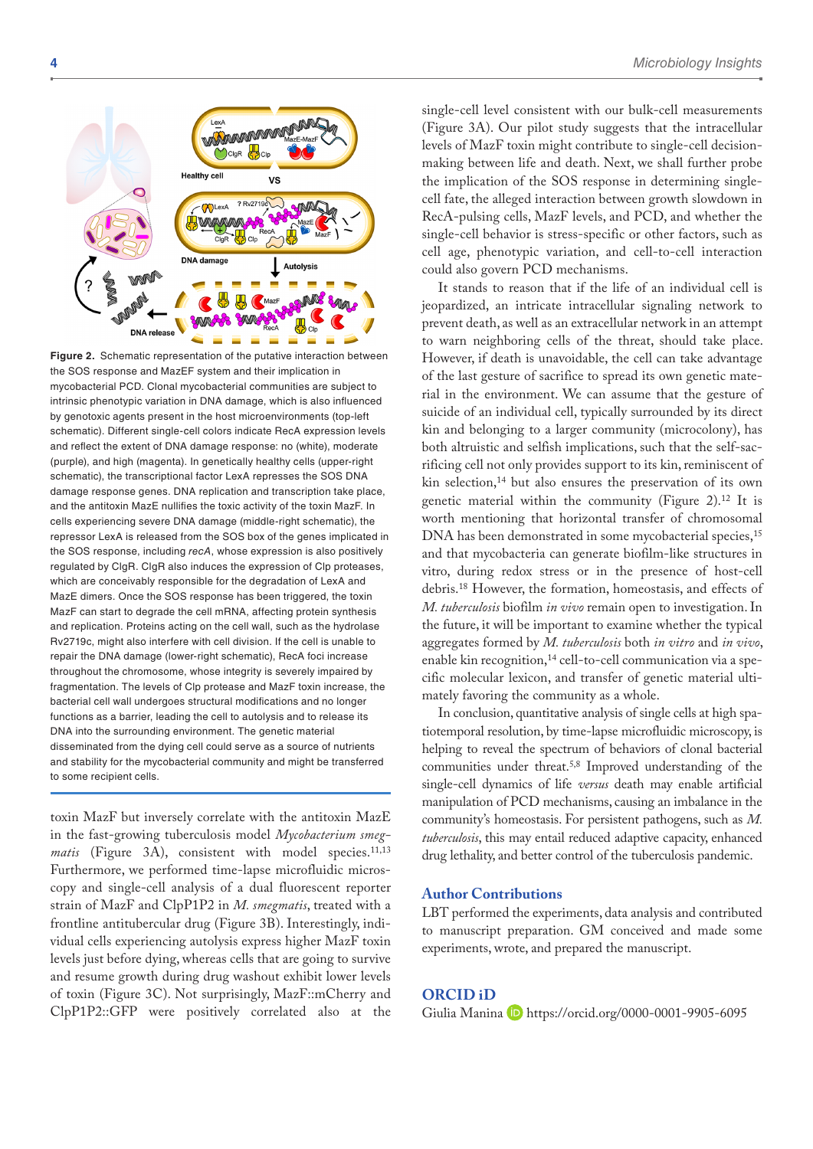

**Figure 2.** Schematic representation of the putative interaction between the SOS response and MazEF system and their implication in mycobacterial PCD. Clonal mycobacterial communities are subject to intrinsic phenotypic variation in DNA damage, which is also influenced by genotoxic agents present in the host microenvironments (top-left schematic). Different single-cell colors indicate RecA expression levels and reflect the extent of DNA damage response: no (white), moderate (purple), and high (magenta). In genetically healthy cells (upper-right schematic), the transcriptional factor LexA represses the SOS DNA damage response genes. DNA replication and transcription take place, and the antitoxin MazE nullifies the toxic activity of the toxin MazF. In cells experiencing severe DNA damage (middle-right schematic), the repressor LexA is released from the SOS box of the genes implicated in the SOS response, including *recA*, whose expression is also positively regulated by ClgR. ClgR also induces the expression of Clp proteases, which are conceivably responsible for the degradation of LexA and MazE dimers. Once the SOS response has been triggered, the toxin MazF can start to degrade the cell mRNA, affecting protein synthesis and replication. Proteins acting on the cell wall, such as the hydrolase Rv2719c, might also interfere with cell division. If the cell is unable to repair the DNA damage (lower-right schematic), RecA foci increase throughout the chromosome, whose integrity is severely impaired by fragmentation. The levels of Clp protease and MazF toxin increase, the bacterial cell wall undergoes structural modifications and no longer functions as a barrier, leading the cell to autolysis and to release its DNA into the surrounding environment. The genetic material disseminated from the dying cell could serve as a source of nutrients and stability for the mycobacterial community and might be transferred to some recipient cells.

toxin MazF but inversely correlate with the antitoxin MazE in the fast-growing tuberculosis model *Mycobacterium smeg*matis (Figure 3A), consistent with model species.<sup>11,13</sup> Furthermore, we performed time-lapse microfluidic microscopy and single-cell analysis of a dual fluorescent reporter strain of MazF and ClpP1P2 in *M. smegmatis*, treated with a frontline antitubercular drug (Figure 3B). Interestingly, individual cells experiencing autolysis express higher MazF toxin levels just before dying, whereas cells that are going to survive and resume growth during drug washout exhibit lower levels of toxin (Figure 3C). Not surprisingly, MazF::mCherry and ClpP1P2::GFP were positively correlated also at the

single-cell level consistent with our bulk-cell measurements (Figure 3A). Our pilot study suggests that the intracellular levels of MazF toxin might contribute to single-cell decisionmaking between life and death. Next, we shall further probe the implication of the SOS response in determining singlecell fate, the alleged interaction between growth slowdown in RecA-pulsing cells, MazF levels, and PCD, and whether the single-cell behavior is stress-specific or other factors, such as cell age, phenotypic variation, and cell-to-cell interaction could also govern PCD mechanisms.

It stands to reason that if the life of an individual cell is jeopardized, an intricate intracellular signaling network to prevent death, as well as an extracellular network in an attempt to warn neighboring cells of the threat, should take place. However, if death is unavoidable, the cell can take advantage of the last gesture of sacrifice to spread its own genetic material in the environment. We can assume that the gesture of suicide of an individual cell, typically surrounded by its direct kin and belonging to a larger community (microcolony), has both altruistic and selfish implications, such that the self-sacrificing cell not only provides support to its kin, reminiscent of kin selection,<sup>14</sup> but also ensures the preservation of its own genetic material within the community (Figure 2).<sup>12</sup> It is worth mentioning that horizontal transfer of chromosomal DNA has been demonstrated in some mycobacterial species,<sup>15</sup> and that mycobacteria can generate biofilm-like structures in vitro, during redox stress or in the presence of host-cell debris.18 However, the formation, homeostasis, and effects of *M. tuberculosis* biofilm *in vivo* remain open to investigation. In the future, it will be important to examine whether the typical aggregates formed by *M. tuberculosis* both *in vitro* and *in vivo*, enable kin recognition,<sup>14</sup> cell-to-cell communication via a specific molecular lexicon, and transfer of genetic material ultimately favoring the community as a whole.

In conclusion, quantitative analysis of single cells at high spatiotemporal resolution, by time-lapse microfluidic microscopy, is helping to reveal the spectrum of behaviors of clonal bacterial communities under threat.5,8 Improved understanding of the single-cell dynamics of life *versus* death may enable artificial manipulation of PCD mechanisms, causing an imbalance in the community's homeostasis. For persistent pathogens, such as *M. tuberculosis*, this may entail reduced adaptive capacity, enhanced drug lethality, and better control of the tuberculosis pandemic.

#### **Author Contributions**

LBT performed the experiments, data analysis and contributed to manuscript preparation. GM conceived and made some experiments, wrote, and prepared the manuscript.

#### **ORCID iD**

Giulia Manina D <https://orcid.org/0000-0001-9905-6095>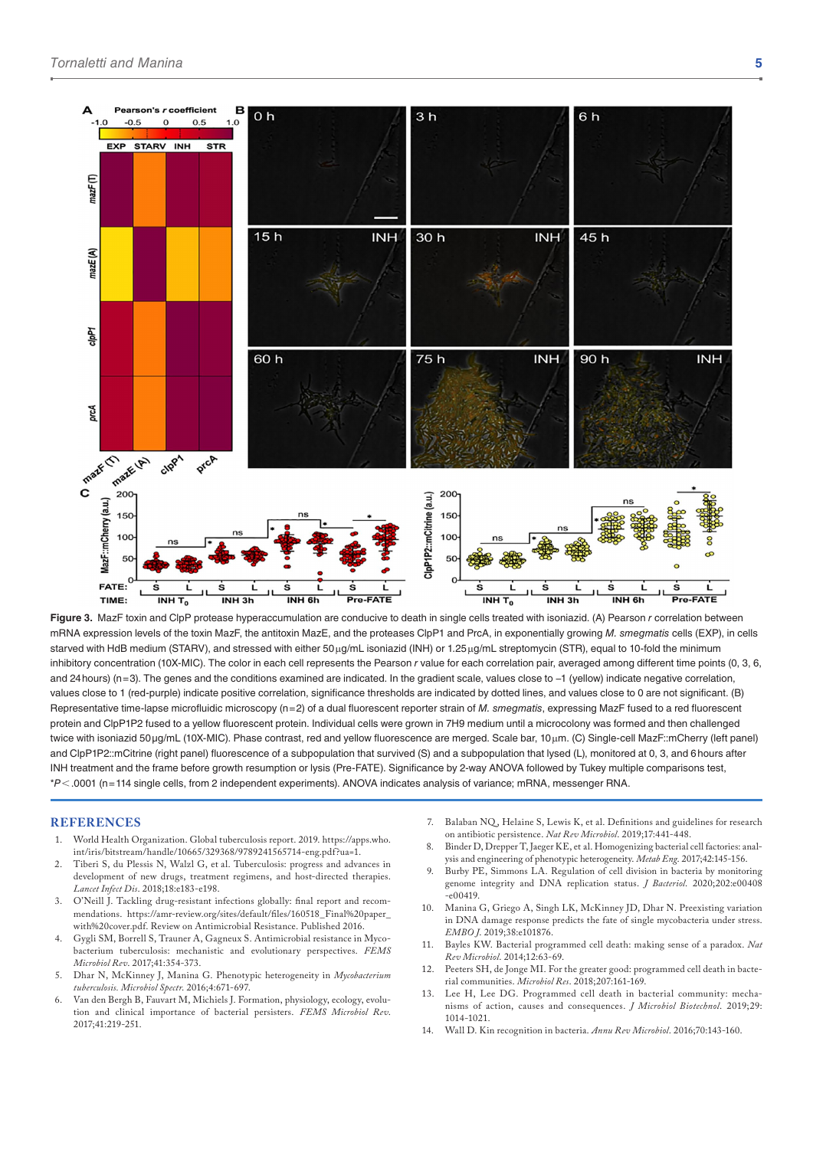

**Figure 3.** MazF toxin and ClpP protease hyperaccumulation are conducive to death in single cells treated with isoniazid. (A) Pearson *r* correlation between mRNA expression levels of the toxin MazF, the antitoxin MazE, and the proteases ClpP1 and PrcA, in exponentially growing *M. smegmatis* cells (EXP), in cells starved with HdB medium (STARV), and stressed with either 50 μg/mL isoniazid (INH) or 1.25 μg/mL streptomycin (STR), equal to 10-fold the minimum inhibitory concentration (10X-MIC). The color in each cell represents the Pearson *r* value for each correlation pair, averaged among different time points (0, 3, 6, and 24hours) (n=3). The genes and the conditions examined are indicated. In the gradient scale, values close to −1 (yellow) indicate negative correlation, values close to 1 (red-purple) indicate positive correlation, significance thresholds are indicated by dotted lines, and values close to 0 are not significant. (B) Representative time-lapse microfluidic microscopy (n=2) of a dual fluorescent reporter strain of *M. smegmatis*, expressing MazF fused to a red fluorescent protein and ClpP1P2 fused to a yellow fluorescent protein. Individual cells were grown in 7H9 medium until a microcolony was formed and then challenged twice with isoniazid 50µg/mL (10X-MIC). Phase contrast, red and yellow fluorescence are merged. Scale bar, 10μm. (C) Single-cell MazF::mCherry (left panel) and ClpP1P2::mCitrine (right panel) fluorescence of a subpopulation that survived (S) and a subpopulation that lysed (L), monitored at 0, 3, and 6 hours after INH treatment and the frame before growth resumption or lysis (Pre-FATE). Significance by 2-way ANOVA followed by Tukey multiple comparisons test, \**P*<.0001 (n=114 single cells, from 2 independent experiments). ANOVA indicates analysis of variance; mRNA, messenger RNA.

#### **References**

- 1. World Health Organization. Global tuberculosis report. 2019. [https://apps.who.](https://apps.who.int/iris/bitstream/handle/10665/329368/9789241565714-eng.pdf?ua=1) [int/iris/bitstream/handle/10665/329368/9789241565714-eng.pdf?ua=1.](https://apps.who.int/iris/bitstream/handle/10665/329368/9789241565714-eng.pdf?ua=1)
- 2. Tiberi S, du Plessis N, Walzl G, et al. Tuberculosis: progress and advances in development of new drugs, treatment regimens, and host-directed therapies. *Lancet Infect Dis*. 2018;18:e183-e198.
- 3. O'Neill J. Tackling drug-resistant infections globally: final report and recommendations. [https://amr-review.org/sites/default/files/160518\\_Final%20paper\\_](https://amr-review.org/sites/default/files/160518_Final%20paper_with%20cover.pdf) [with%20cover.pdf.](https://amr-review.org/sites/default/files/160518_Final%20paper_with%20cover.pdf) Review on Antimicrobial Resistance. Published 2016.
- 4. Gygli SM, Borrell S, Trauner A, Gagneux S. Antimicrobial resistance in Mycobacterium tuberculosis: mechanistic and evolutionary perspectives. *FEMS Microbiol Rev*. 2017;41:354-373.
- 5. Dhar N, McKinney J, Manina G. Phenotypic heterogeneity in *Mycobacterium tuberculosis. Microbiol Spectr*. 2016;4:671-697.
- Van den Bergh B, Fauvart M, Michiels J. Formation, physiology, ecology, evolution and clinical importance of bacterial persisters. *FEMS Microbiol Rev*. 2017;41:219-251.
- 7. Balaban NQ , Helaine S, Lewis K, et al. Definitions and guidelines for research on antibiotic persistence. *Nat Rev Microbiol*. 2019;17:441-448.
- 8. Binder D, Drepper T, Jaeger KE, et al. Homogenizing bacterial cell factories: analysis and engineering of phenotypic heterogeneity. *Metab Eng*. 2017;42:145-156.
- 9. Burby PE, Simmons LA. Regulation of cell division in bacteria by monitoring genome integrity and DNA replication status. *J Bacteriol*. 2020;202:e00408  $-$ e $00419$
- 10. Manina G, Griego A, Singh LK, McKinney JD, Dhar N. Preexisting variation in DNA damage response predicts the fate of single mycobacteria under stress. *EMBO J*. 2019;38:e101876.
- 11. Bayles KW. Bacterial programmed cell death: making sense of a paradox. *Nat Rev Microbiol*. 2014;12:63-69.
- 12. Peeters SH, de Jonge MI. For the greater good: programmed cell death in bacterial communities. *Microbiol Res*. 2018;207:161-169.
- 13. Lee H, Lee DG. Programmed cell death in bacterial community: mechanisms of action, causes and consequences. *J Microbiol Biotechnol*. 2019;29: 1014-1021.
- 14. Wall D. Kin recognition in bacteria. *Annu Rev Microbiol*. 2016;70:143-160.